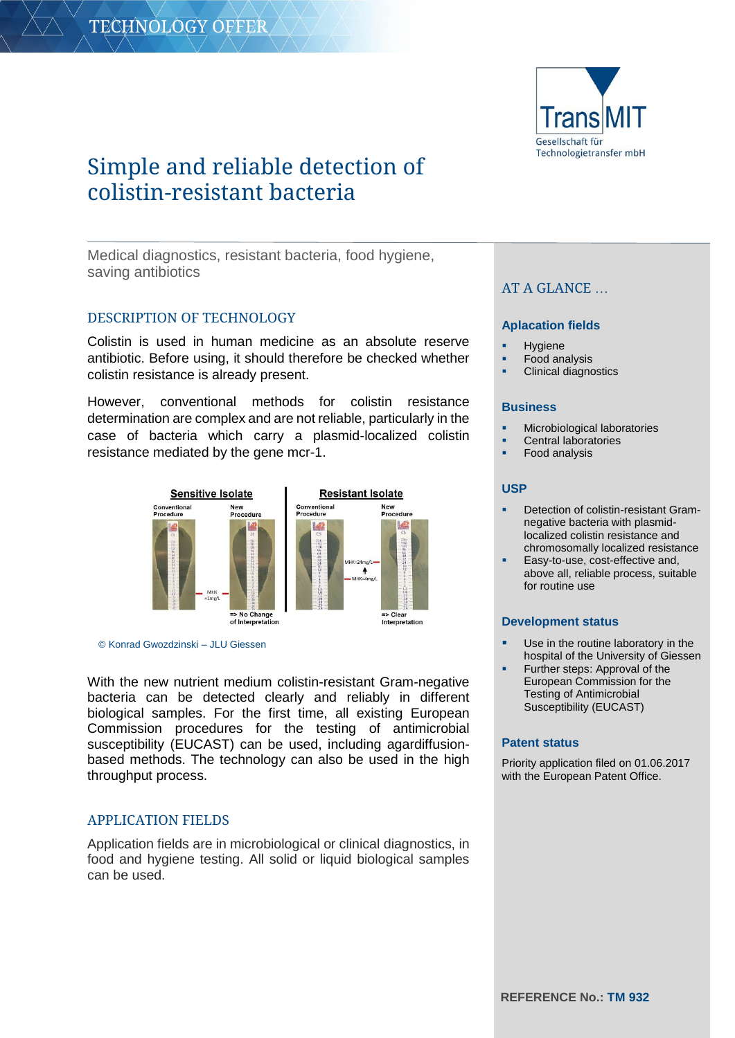

# Simple and reliable detection of colistin-resistant bacteria

Medical diagnostics, resistant bacteria, food hygiene, saving antibiotics

# DESCRIPTION OF TECHNOLOGY

Colistin is used in human medicine as an absolute reserve antibiotic. Before using, it should therefore be checked whether colistin resistance is already present.

However, conventional methods for colistin resistance determination are complex and are not reliable, particularly in the case of bacteria which carry a plasmid-localized colistin resistance mediated by the gene mcr-1.



© Konrad Gwozdzinski – JLU Giessen

With the new nutrient medium colistin-resistant Gram-negative bacteria can be detected clearly and reliably in different biological samples. For the first time, all existing European Commission procedures for the testing of antimicrobial susceptibility (EUCAST) can be used, including agardiffusionbased methods. The technology can also be used in the high throughput process.

## APPLICATION FIELDS

Application fields are in microbiological or clinical diagnostics, in food and hygiene testing. All solid or liquid biological samples can be used.

# AT A GLANCE …

#### **Aplacation fields**

- **Hygiene**
- Food analysis
- Clinical diagnostics

#### **Business**

- Microbiological laboratories
- Central laboratories
- Food analysis

#### **USP**

- Detection of colistin-resistant Gramnegative bacteria with plasmidlocalized colistin resistance and chromosomally localized resistance
- Easy-to-use, cost-effective and, above all, reliable process, suitable for routine use

#### **Development status**

- Use in the routine laboratory in the hospital of the University of Giessen
- Further steps: Approval of the European Commission for the Testing of Antimicrobial Susceptibility (EUCAST)

#### **Patent status**

Priority application filed on 01.06.2017 with the European Patent Office.